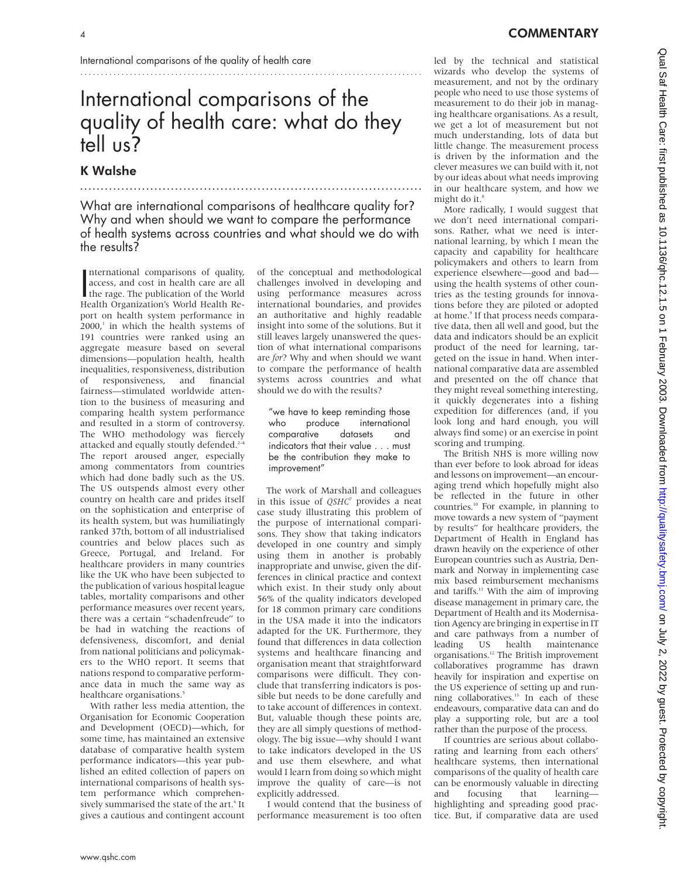International comparisons of the quality of health care

# International comparisons of the quality of health care: what do they tell us?

...................................................................................

## K Walshe

What are international comparisons of healthcare quality for? Why and when should we want to compare the performance of health systems across countries and what should we do with the results?

...................................................................................

nternational comparisons of quality,<br>access, and cost in health care are all<br>the rage. The publication of the World<br>Health Organization's World Health Renternational comparisons of quality, access, and cost in health care are all Health Organization's World Health Report on health system performance in  $2000<sup>1</sup>$  in which the health systems of 191 countries were ranked using an aggregate measure based on several dimensions—population health, health inequalities, responsiveness, distribution of responsiveness, and financial fairness—stimulated worldwide attention to the business of measuring and comparing health system performance and resulted in a storm of controversy. The WHO methodology was fiercely attacked and equally stoutly defended.<sup>2-</sup> The report aroused anger, especially among commentators from countries which had done badly such as the US. The US outspends almost every other country on health care and prides itself on the sophistication and enterprise of its health system, but was humiliatingly ranked 37th, bottom of all industrialised countries and below places such as Greece, Portugal, and Ireland. For healthcare providers in many countries like the UK who have been subjected to the publication of various hospital league tables, mortality comparisons and other performance measures over recent years, there was a certain "schadenfreude" to be had in watching the reactions of defensiveness, discomfort, and denial from national politicians and policymakers to the WHO report. It seems that nations respond to comparative performance data in much the same way as healthcare organisations.<sup>5</sup>

With rather less media attention, the Organisation for Economic Cooperation and Development (OECD)—which, for some time, has maintained an extensive database of comparative health system performance indicators—this year published an edited collection of papers on international comparisons of health system performance which comprehensively summarised the state of the art.<sup>6</sup> It gives a cautious and contingent account

of the conceptual and methodological challenges involved in developing and using performance measures across international boundaries, and provides an authoritative and highly readable insight into some of the solutions. But it still leaves largely unanswered the question of what international comparisons are *for*? Why and when should we want to compare the performance of health systems across countries and what should we do with the results?

### "we have to keep reminding those who produce international comparative datasets and indicators that their value . . . must be the contribution they make to improvement"

The work of Marshall and colleagues in this issue of *QSHC*<sup>7</sup> provides a neat case study illustrating this problem of the purpose of international comparisons. They show that taking indicators developed in one country and simply using them in another is probably inappropriate and unwise, given the differences in clinical practice and context which exist. In their study only about 56% of the quality indicators developed for 18 common primary care conditions in the USA made it into the indicators adapted for the UK. Furthermore, they found that differences in data collection systems and healthcare financing and organisation meant that straightforward comparisons were difficult. They conclude that transferring indicators is possible but needs to be done carefully and to take account of differences in context. But, valuable though these points are, they are all simply questions of methodology. The big issue—why should I want to take indicators developed in the US and use them elsewhere, and what would I learn from doing so which might improve the quality of care—is not explicitly addressed.

I would contend that the business of performance measurement is too often

## <sup>4</sup> COMMENTARY

led by the technical and statistical wizards who develop the systems of measurement, and not by the ordinary people who need to use those systems of measurement to do their job in managing healthcare organisations. As a result, we get a lot of measurement but not much understanding, lots of data but little change. The measurement process is driven by the information and the clever measures we can build with it, not by our ideas about what needs improving in our healthcare system, and how we might do it. $\delta$ 

More radically, I would suggest that we don't need international comparisons. Rather, what we need is international learning, by which I mean the capacity and capability for healthcare policymakers and others to learn from experience elsewhere—good and bad using the health systems of other countries as the testing grounds for innovations before they are piloted or adopted at home.<sup>9</sup> If that process needs comparative data, then all well and good, but the data and indicators should be an explicit product of the need for learning, targeted on the issue in hand. When international comparative data are assembled and presented on the off chance that they might reveal something interesting, it quickly degenerates into a fishing expedition for differences (and, if you look long and hard enough, you will always find some) or an exercise in point scoring and trumping.

The British NHS is more willing now than ever before to look abroad for ideas and lessons on improvement—an encouraging trend which hopefully might also be reflected in the future in other countries.10 For example, in planning to move towards a new system of "payment by results" for healthcare providers, the Department of Health in England has drawn heavily on the experience of other European countries such as Austria, Denmark and Norway in implementing case mix based reimbursement mechanisms and tariffs. $11$  With the aim of improving disease management in primary care, the Department of Health and its Modernisation Agency are bringing in expertise in IT and care pathways from a number of<br>leading US health maintenance maintenance organisations.12 The British improvement collaboratives programme has drawn heavily for inspiration and expertise on the US experience of setting up and running collaboratives.<sup>13</sup> In each of these endeavours, comparative data can and do play a supporting role, but are a tool rather than the purpose of the process.

If countries are serious about collaborating and learning from each others' healthcare systems, then international comparisons of the quality of health care can be enormously valuable in directing<br>and focusing that learning and focusing that learning highlighting and spreading good practice. But, if comparative data are used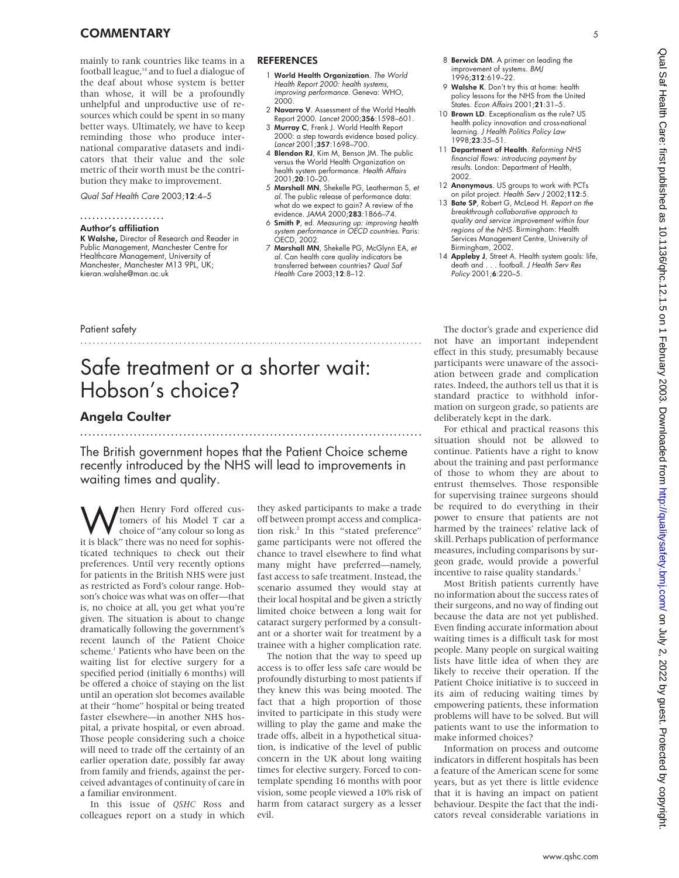mainly to rank countries like teams in a football league,<sup>14</sup> and to fuel a dialogue of the deaf about whose system is better than whose, it will be a profoundly unhelpful and unproductive use of resources which could be spent in so many better ways. Ultimately, we have to keep reminding those who produce international comparative datasets and indicators that their value and the sole metric of their worth must be the contribution they make to improvement.

Qual Saf Health Care 2003;12:4–5

#### ..................... Author's affiliation

K Walshe, Director of Research and Reader in Public Management, Manchester Centre for Healthcare Management, University of Manchester, Manchester M13 9PL, UK; kieran.walshe@man.ac.uk

### REFERENCES

- 1 World Health Organization. The World Health Report 2000: health systems, improving performance. Geneva: WHO, 2000.
- 2 Navarro V. Assessment of the World Health Report 2000. Lancet 2000;356:1598–601.
- 3 Murray C, Frenk J. World Health Report 2000: a step towards evidence based policy.<br>*Lancet* 2001;**357**:1698–700.
- 4 Blendon RJ, Kim M, Benson JM. The public versus the World Health Organization on health system performance. *Health Affairs*<br>2001;**20**:10–20.
- 5 Marshall MN, Shekelle PG, Leatherman S, et al. The public release of performance data: what do we expect to gain? A review of the evidence. JAMA 2000;283:1866–74.
- 6 Smith P, ed. Measuring up: improving health system performance in OECD countries. Paris: OECD, 2002.
- 7 Marshall MN, Shekelle PG, McGlynn EA, et al. Can health care quality indicators be transferred between countries? Qual Saf Health Care 2003;12:8–12.
- 8 **Berwick DM**. A primer on leading the improvement of systems. BMJ 1996;312:619–22.
- 9 Walshe K. Don't try this at home: health policy lessons for the NHS from the United States. Econ Affairs 2001;21:31–5.
- 10 **Brown LD**. Exceptionalism as the rule? US health policy innovation and cross-national learning. J Health Politics Policy Law 1998;23:35-51.
- 11 Department of Health. Reforming NHS financial flows: introducing paymen<sup>t</sup> by results. London: Department of Health, 2002.
- 12 **Anonymous**. US groups to work with PCTs on pilot project. Health Serv J 2002;112:5.
- 13 Bate SP, Robert G, McLeod H. Report on the breakthrough collaborative approach to quality and service improvement within four regions of the NHS. Birmingham: Health Services Management Centre, University of Birmingham, 2002.
- 14 Appleby J, Street A. Health system goals: life, death and . . . football. J Health Serv Res Policy 2001;6:220–5.

Patient safety

## Safe treatment or a shorter wait: Hobson's choice?

## Angela Coulter

The British government hopes that the Patient Choice scheme recently introduced by the NHS will lead to improvements in waiting times and quality.

...................................................................................

...................................................................................

**When Henry Ford offered cus-**<br>tomers of his Model T car a<br>it is black" there was no need for sonbis. tomers of his Model T car a it is black" there was no need for sophisticated techniques to check out their preferences. Until very recently options for patients in the British NHS were just as restricted as Ford's colour range. Hobson's choice was what was on offer—that is, no choice at all, you get what you're given. The situation is about to change dramatically following the government's recent launch of the Patient Choice scheme.<sup>1</sup> Patients who have been on the waiting list for elective surgery for a specified period (initially 6 months) will be offered a choice of staying on the list until an operation slot becomes available at their "home" hospital or being treated faster elsewhere—in another NHS hospital, a private hospital, or even abroad. Those people considering such a choice will need to trade off the certainty of an earlier operation date, possibly far away from family and friends, against the perceived advantages of continuity of care in a familiar environment.

In this issue of *QSHC* Ross and colleagues report on a study in which

they asked participants to make a trade off between prompt access and complication risk.<sup>2</sup> In this "stated preference" game participants were not offered the chance to travel elsewhere to find what many might have preferred—namely, fast access to safe treatment. Instead, the scenario assumed they would stay at their local hospital and be given a strictly limited choice between a long wait for cataract surgery performed by a consultant or a shorter wait for treatment by a trainee with a higher complication rate.

The notion that the way to speed up access is to offer less safe care would be profoundly disturbing to most patients if they knew this was being mooted. The fact that a high proportion of those invited to participate in this study were willing to play the game and make the trade offs, albeit in a hypothetical situation, is indicative of the level of public concern in the UK about long waiting times for elective surgery. Forced to contemplate spending 16 months with poor vision, some people viewed a 10% risk of harm from cataract surgery as a lesser evil.

The doctor's grade and experience did not have an important independent effect in this study, presumably because participants were unaware of the association between grade and complication rates. Indeed, the authors tell us that it is standard practice to withhold information on surgeon grade, so patients are deliberately kept in the dark.

For ethical and practical reasons this situation should not be allowed to continue. Patients have a right to know about the training and past performance of those to whom they are about to entrust themselves. Those responsible for supervising trainee surgeons should be required to do everything in their power to ensure that patients are not harmed by the trainees' relative lack of skill. Perhaps publication of performance measures, including comparisons by surgeon grade, would provide a powerful incentive to raise quality standards.<sup>3</sup>

Most British patients currently have no information about the success rates of their surgeons, and no way of finding out because the data are not yet published. Even finding accurate information about waiting times is a difficult task for most people. Many people on surgical waiting lists have little idea of when they are likely to receive their operation. If the Patient Choice initiative is to succeed in its aim of reducing waiting times by empowering patients, these information problems will have to be solved. But will patients want to use the information to make informed choices?

Information on process and outcome indicators in different hospitals has been a feature of the American scene for some years, but as yet there is little evidence that it is having an impact on patient behaviour. Despite the fact that the indicators reveal considerable variations in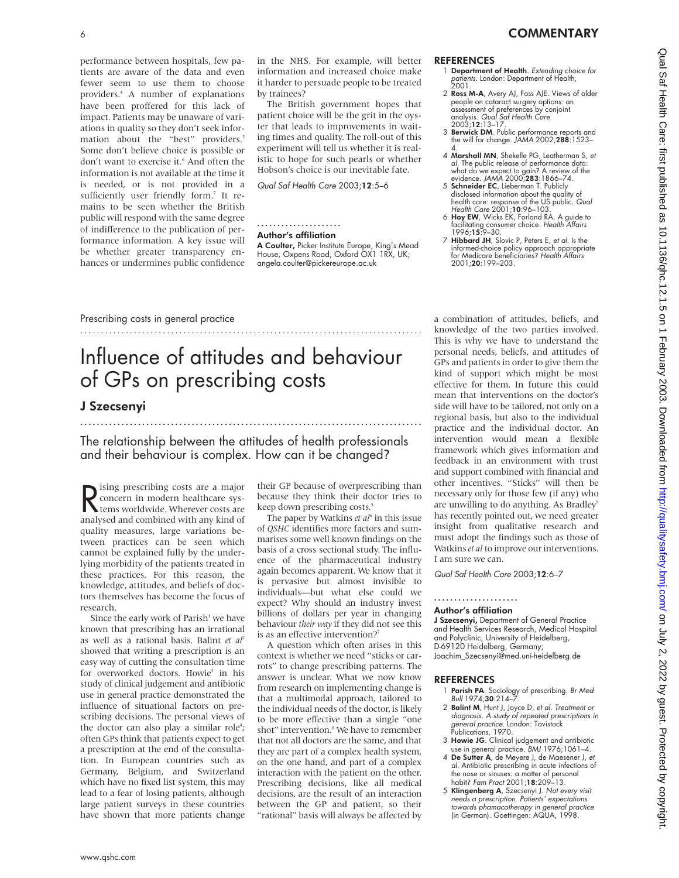6 COMMENTARY

performance between hospitals, few patients are aware of the data and even fewer seem to use them to choose providers.4 A number of explanations have been proffered for this lack of impact. Patients may be unaware of variations in quality so they don't seek information about the "best" providers.<sup>5</sup> Some don't believe choice is possible or don't want to exercise it.<sup>6</sup> And often the information is not available at the time it is needed, or is not provided in a sufficiently user friendly form.<sup>7</sup> It remains to be seen whether the British public will respond with the same degree of indifference to the publication of performance information. A key issue will be whether greater transparency enhances or undermines public confidence in the NHS. For example, will better information and increased choice make it harder to persuade people to be treated by trainees?

The British government hopes that patient choice will be the grit in the oyster that leads to improvements in waiting times and quality. The roll-out of this experiment will tell us whether it is realistic to hope for such pearls or whether Hobson's choice is our inevitable fate.

Qual Saf Health Care 2003;12:5–6

#### ..................... Author's affiliation

A Coulter, Picker Institute Europe, King's Mead House, Oxpens Road, Oxford OX1 1RX, UK; angela.coulter@pickereurope.ac.uk

Prescribing costs in general practice

# Influence of attitudes and behaviour of GPs on prescribing costs

...................................................................................

### J Szecsenyi

## The relationship between the attitudes of health professionals and their behaviour is complex. How can it be changed?

...................................................................................

Relation of the measurement of the measurement of the concern in modern healthcare systems worldwide. Wherever costs are ising prescribing costs are a major concern in modern healthcare sysanalysed and combined with any kind of quality measures, large variations between practices can be seen which cannot be explained fully by the underlying morbidity of the patients treated in these practices. For this reason, the knowledge, attitudes, and beliefs of doctors themselves has become the focus of research.

Since the early work of Parish<sup>1</sup> we have known that prescribing has an irrational as well as a rational basis. Balint *et al*<sup>2</sup> showed that writing a prescription is an easy way of cutting the consultation time for overworked doctors. Howie<sup>3</sup> in his study of clinical judgement and antibiotic use in general practice demonstrated the influence of situational factors on prescribing decisions. The personal views of the doctor can also play a similar role<sup>4</sup>; often GPs think that patients expect to get a prescription at the end of the consultation. In European countries such as Germany, Belgium, and Switzerland which have no fixed list system, this may lead to a fear of losing patients, although large patient surveys in these countries have shown that more patients change

their GP because of overprescribing than because they think their doctor tries to keep down prescribing costs.<sup>5</sup>

The paper by Watkins *et al*<sup>6</sup> in this issue of *QSHC* identifies more factors and summarises some well known findings on the basis of a cross sectional study. The influence of the pharmaceutical industry again becomes apparent. We know that it is pervasive but almost invisible to individuals—but what else could we expect? Why should an industry invest billions of dollars per year in changing behaviour *their way* if they did not see this is as an effective intervention?<sup>7</sup>

A question which often arises in this context is whether we need "sticks or carrots" to change prescribing patterns. The answer is unclear. What we now know from research on implementing change is that a multimodal approach, tailored to the individual needs of the doctor, is likely to be more effective than a single "one shot" intervention.<sup>8</sup> We have to remember that not all doctors are the same, and that they are part of a complex health system, on the one hand, and part of a complex interaction with the patient on the other. Prescribing decisions, like all medical decisions, are the result of an interaction between the GP and patient, so their "rational" basis will always be affected by

#### REFERENCES

- 1 Department of Health. Extending choice for patients. London: Department of Health, 2001.
- 2 Ross M-A, Avery AJ, Foss AJE. Views of older people on cataract surgery options: an assessment of preferences by conjoint analysis. Qual Saf Health Care 2003;12:13–17. 3 **Berwick DM**. Public performance reports and
- the will for change. JAMA 2002;288:1523–
- 4.<br>4 **Marshall MN**, Shekelle PG, Leatherman S, *et* al. The public release of performance data: what do we expect to gain? A review of the evidence. JAMA 2000;283:1866–74.
- 5 Schneider EC, Lieberman T. Publicly disclosed information about the quality of health care: response of the US public. Qual Health Care 2001;10:96–103.
- 6 Hoy EW, Wicks EK, Forland RA. A guide to facilitating consumer choice. Health Affairs 1996;15:9–30.
- 7 Hibbard JH, Slovic P, Peters E, et al. Is the informed-choice policy approach appropriate for Medicare beneficiaries? Health Affairs 2001;20:199–203.

a combination of attitudes, beliefs, and knowledge of the two parties involved. This is why we have to understand the personal needs, beliefs, and attitudes of GPs and patients in order to give them the kind of support which might be most effective for them. In future this could mean that interventions on the doctor's side will have to be tailored, not only on a regional basis, but also to the individual practice and the individual doctor. An intervention would mean a flexible framework which gives information and feedback in an environment with trust and support combined with financial and other incentives. "Sticks" will then be necessary only for those few (if any) who are unwilling to do anything. As Bradley<sup>9</sup> has recently pointed out, we need greater insight from qualitative research and must adopt the findings such as those of Watkins *et al* to improve our interventions. I am sure we can.

Qual Saf Health Care 2003;12:6–7

#### ..................... Author's affiliation

J Szecsenyi, Department of General Practice and Health Services Research, Medical Hospital and Polyclinic, University of Heidelberg, D-69120 Heidelberg, Germany; Joachim\_Szecsenyi@med.uni-heidelberg.de

#### REFERENCES

- 1 Parish PA. Sociology of prescribing. Br Med Bull 1974;30:214–7.
- 2 Balint M, Hunt J, Joyce D, et al. Treatment or diagnosis. A study of repeated prescriptions in general practice. London: Tavistock Publications, 1970.
- 3 Howie JG. Clinical judgement and antibiotic
- use in general practice. BMJ 1976;1061–4. 4 De Sutter A, de Meyere J, de Maesener J, et al. Antibiotic prescribing in acute infections of the nose or sinuses: a matter of personal<br>habit? *Fam Pract* 2001;**18**:209–13.
- 5 Klingenberg A, Szecsenyi J. Not every visit needs <sup>a</sup> prescription. Patients' expectations towards <sup>p</sup>hamacotherapy in general practice (in German). Goettingen: AQUA, 1998.